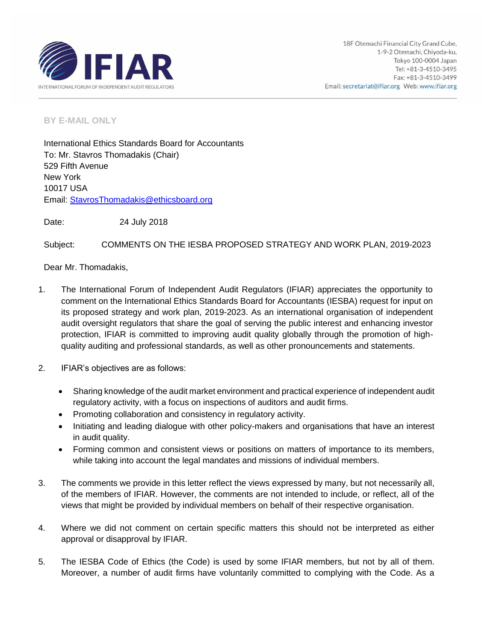

**BY E-MAIL ONLY**

International Ethics Standards Board for Accountants To: Mr. Stavros Thomadakis (Chair) 529 Fifth Avenue New York 10017 USA Email: StavrosThomadakis@ethicsboard.org

Date: 24 July 2018

Subject: COMMENTS ON THE IESBA PROPOSED STRATEGY AND WORK PLAN, 2019-2023

Dear Mr. Thomadakis,

- 1. The International Forum of Independent Audit Regulators (IFIAR) appreciates the opportunity to comment on the International Ethics Standards Board for Accountants (IESBA) request for input on its proposed strategy and work plan, 2019-2023. As an international organisation of independent audit oversight regulators that share the goal of serving the public interest and enhancing investor protection, IFIAR is committed to improving audit quality globally through the promotion of highquality auditing and professional standards, as well as other pronouncements and statements.
- 2. IFIAR's objectives are as follows:
	- Sharing knowledge of the audit market environment and practical experience of independent audit regulatory activity, with a focus on inspections of auditors and audit firms.
	- Promoting collaboration and consistency in regulatory activity.
	- Initiating and leading dialogue with other policy-makers and organisations that have an interest in audit quality.
	- Forming common and consistent views or positions on matters of importance to its members, while taking into account the legal mandates and missions of individual members.
- 3. The comments we provide in this letter reflect the views expressed by many, but not necessarily all, of the members of IFIAR. However, the comments are not intended to include, or reflect, all of the views that might be provided by individual members on behalf of their respective organisation.
- 4. Where we did not comment on certain specific matters this should not be interpreted as either approval or disapproval by IFIAR.
- 5. The IESBA Code of Ethics (the Code) is used by some IFIAR members, but not by all of them. Moreover, a number of audit firms have voluntarily committed to complying with the Code. As a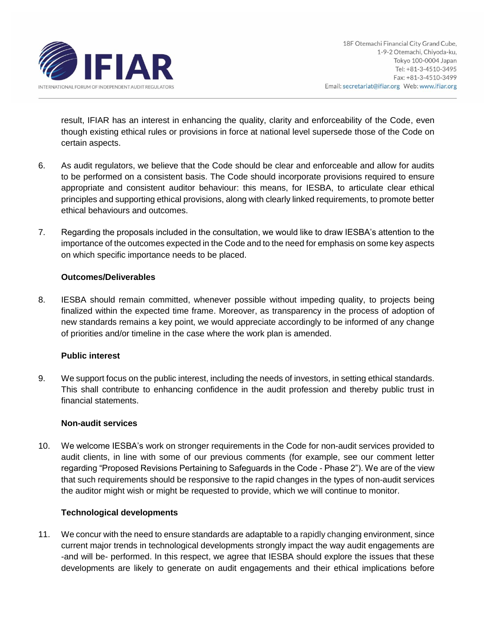

result, IFIAR has an interest in enhancing the quality, clarity and enforceability of the Code, even though existing ethical rules or provisions in force at national level supersede those of the Code on certain aspects.

- 6. As audit regulators, we believe that the Code should be clear and enforceable and allow for audits to be performed on a consistent basis. The Code should incorporate provisions required to ensure appropriate and consistent auditor behaviour: this means, for IESBA, to articulate clear ethical principles and supporting ethical provisions, along with clearly linked requirements, to promote better ethical behaviours and outcomes.
- 7. Regarding the proposals included in the consultation, we would like to draw IESBA's attention to the importance of the outcomes expected in the Code and to the need for emphasis on some key aspects on which specific importance needs to be placed.

### **Outcomes/Deliverables**

8. IESBA should remain committed, whenever possible without impeding quality, to projects being finalized within the expected time frame. Moreover, as transparency in the process of adoption of new standards remains a key point, we would appreciate accordingly to be informed of any change of priorities and/or timeline in the case where the work plan is amended.

## **Public interest**

9. We support focus on the public interest, including the needs of investors, in setting ethical standards. This shall contribute to enhancing confidence in the audit profession and thereby public trust in financial statements.

#### **Non-audit services**

10. We welcome IESBA's work on stronger requirements in the Code for non-audit services provided to audit clients, in line with some of our previous comments (for example, see our comment letter regarding "Proposed Revisions Pertaining to Safeguards in the Code - Phase 2"). We are of the view that such requirements should be responsive to the rapid changes in the types of non-audit services the auditor might wish or might be requested to provide, which we will continue to monitor.

#### **Technological developments**

11. We concur with the need to ensure standards are adaptable to a rapidly changing environment, since current major trends in technological developments strongly impact the way audit engagements are -and will be- performed. In this respect, we agree that IESBA should explore the issues that these developments are likely to generate on audit engagements and their ethical implications before